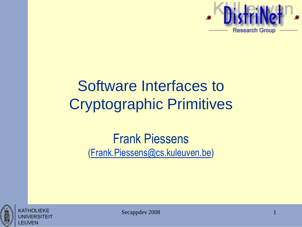

## Software Interfaces to Cryptographic Primitives

#### Frank Piessens [\(Frank.Piessens@cs.kuleuven.be\)](mailto:Frank.Piessens@cs.kuleuven.be)





Secappdev 2008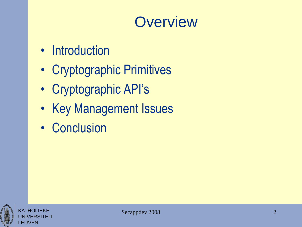### **Overview**

- Introduction
- Cryptographic Primitives
- Cryptographic API's
- Key Management Issues
- Conclusion



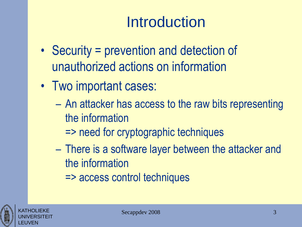## **Introduction**

- Security = prevention and detection of unauthorized actions on information
- Two important cases:
	- An attacker has access to the raw bits representing the information
		- => need for cryptographic techniques
	- There is a software layer between the attacker and the information
		- => access control techniques

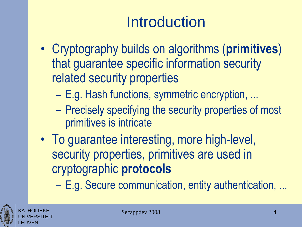## **Introduction**

- Cryptography builds on algorithms (**primitives**) that guarantee specific information security related security properties
	- E.g. Hash functions, symmetric encryption, ...
	- Precisely specifying the security properties of most primitives is intricate
- To guarantee interesting, more high-level, security properties, primitives are used in cryptographic **protocols**

– E.g. Secure communication, entity authentication, ...



KATHOLIEKE UNIVERSITEIT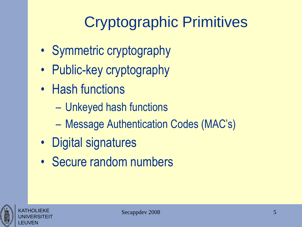## Cryptographic Primitives

- Symmetric cryptography
- Public-key cryptography
- Hash functions
	- Unkeyed hash functions
	- Message Authentication Codes (MAC's)
- Digital signatures
- Secure random numbers



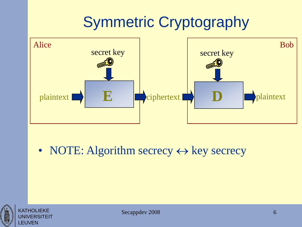## Symmetric Cryptography



• NOTE: Algorithm secrecy  $\leftrightarrow$  key secrecy





Secappdev 2008 6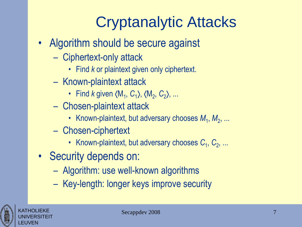## Cryptanalytic Attacks

- Algorithm should be secure against
	- Ciphertext-only attack
		- Find *k* or plaintext given only ciphertext.
	- Known-plaintext attack
		- Find *k* given  $(M_1, C_1)$ ,  $(M_2, C_2)$ , ...
	- Chosen-plaintext attack
		- Known-plaintext, but adversary chooses  $M_1, M_2, ...$
	- Chosen-ciphertext
		- Known-plaintext, but adversary chooses  $C_1, C_2, ...$
- Security depends on:
	- Algorithm: use well-known algorithms
	- Key-length: longer keys improve security



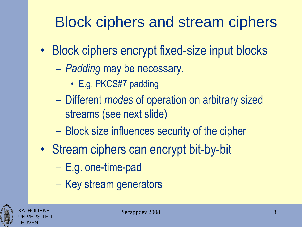## Block ciphers and stream ciphers

- Block ciphers encrypt fixed-size input blocks
	- *Padding* may be necessary.
		- E.g. PKCS#7 padding
	- Different *modes* of operation on arbitrary sized streams (see next slide)
	- Block size influences security of the cipher
- Stream ciphers can encrypt bit-by-bit
	- E.g. one-time-pad
	- Key stream generators



KATHOLIEKE UNIVERSITEIT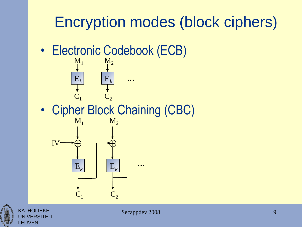## Encryption modes (block ciphers)

• Electronic Codebook (ECB)



• Cipher Block Chaining (CBC)





**KATHOLIFKF** UNIVERSITEIT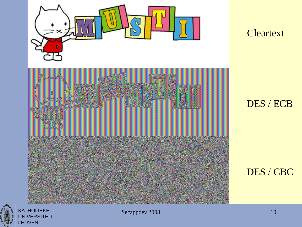

**Cleartext** 

#### DES / ECB

#### DES / CBC



KATHOLIEKE **UNIVERSITEIT** LEUVEN

Secappdev 2008 10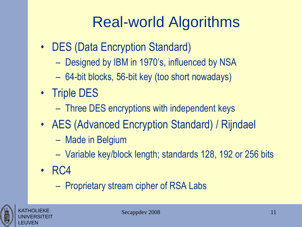## Real-world Algorithms

- DES (Data Encryption Standard)
	- Designed by IBM in 1970's, influenced by NSA
	- 64-bit blocks, 56-bit key (too short nowadays)
- Triple DES
	- Three DES encryptions with independent keys
- AES (Advanced Encryption Standard) / Rijndael
	- Made in Belgium
	- Variable key/block length; standards 128, 192 or 256 bits
- RC4
	- Proprietary stream cipher of RSA Labs



KATHOLIEKE UNIVERSITEIT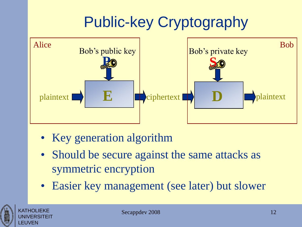## Public-key Cryptography



- Key generation algorithm
- Should be secure against the same attacks as symmetric encryption
- Easier key management (see later) but slower



KATHOLIEKE UNIVERSITEIT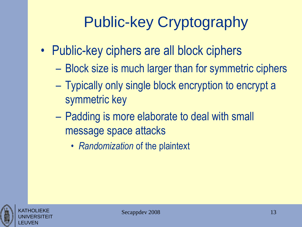## Public-key Cryptography

- Public-key ciphers are all block ciphers
	- Block size is much larger than for symmetric ciphers
	- Typically only single block encryption to encrypt a symmetric key
	- Padding is more elaborate to deal with small message space attacks
		- *Randomization* of the plaintext



KATHOLIEKE UNIVERSITEIT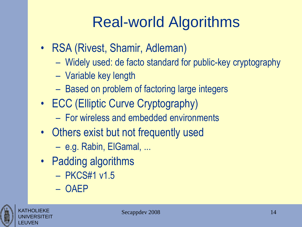## Real-world Algorithms

- RSA (Rivest, Shamir, Adleman)
	- Widely used: de facto standard for public-key cryptography
	- Variable key length
	- Based on problem of factoring large integers
- ECC (Elliptic Curve Cryptography)
	- For wireless and embedded environments
- Others exist but not frequently used
	- e.g. Rabin, ElGamal, ...
- Padding algorithms
	- PKCS#1 v1.5
	- OAEP

![](_page_13_Picture_12.jpeg)

KATHOLIEKE UNIVERSITEIT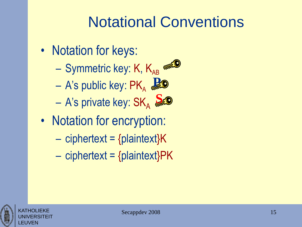## Notational Conventions

- Notation for keys:
	- Symmetric key: K,  $K_{AB}$
	- $-$  A's public key:  $\mathsf{PK}_\mathsf{A}$ **P**
	- A's private key:  $\mathsf{SK}_\mathsf{A}$ **S**
- Notation for encryption:
	- $-$  ciphertext = {plaintext} $K$
	- $-$  ciphertext = {plaintext}PK

![](_page_14_Picture_8.jpeg)

![](_page_14_Picture_9.jpeg)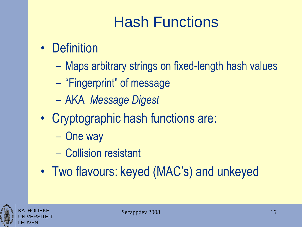## Hash Functions

- Definition
	- Maps arbitrary strings on fixed-length hash values
	- "Fingerprint" of message
	- AKA *Message Digest*
- Cryptographic hash functions are:
	- One way
	- Collision resistant
- Two flavours: keyed (MAC's) and unkeyed

![](_page_15_Picture_9.jpeg)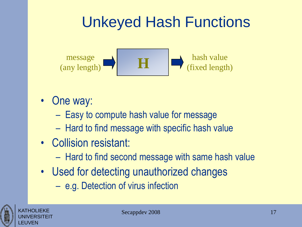## Unkeyed Hash Functions

![](_page_16_Figure_1.jpeg)

- One way:
	- Easy to compute hash value for message
	- Hard to find message with specific hash value
- Collision resistant:
	- Hard to find second message with same hash value
- Used for detecting unauthorized changes
	- e.g. Detection of virus infection

![](_page_16_Picture_9.jpeg)

KATHOLIEKE UNIVERSITEIT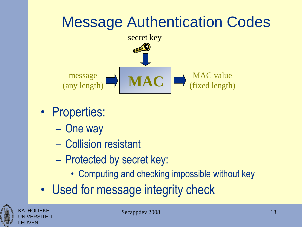## Message Authentication Codes

![](_page_17_Figure_1.jpeg)

- Properties:
	- One way
	- Collision resistant
	- Protected by secret key:
		- Computing and checking impossible without key
- Used for message integrity check

![](_page_17_Picture_8.jpeg)

KATHOLIFKF UNIVERSITEIT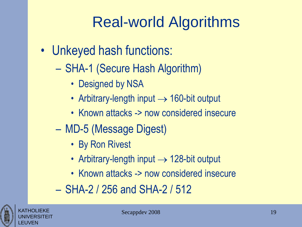## Real-world Algorithms

- Unkeyed hash functions:
	- SHA-1 (Secure Hash Algorithm)
		- Designed by NSA
		- Arbitrary-length input  $\rightarrow$  160-bit output
		- Known attacks -> now considered insecure
	- MD-5 (Message Digest)
		- By Ron Rivest
		- Arbitrary-length input  $\rightarrow$  128-bit output
		- Known attacks -> now considered insecure
	- SHA-2 / 256 and SHA-2 / 512

![](_page_18_Picture_11.jpeg)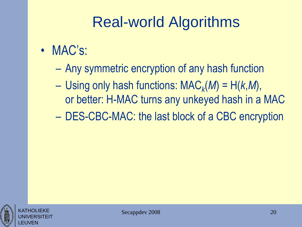## Real-world Algorithms

- MAC's:
	- Any symmetric encryption of any hash function
	- Using only hash functions: MAC*<sup>k</sup>* (*M*) = H(*k*,*M*), or better: H-MAC turns any unkeyed hash in a MAC
	- DES-CBC-MAC: the last block of a CBC encryption

![](_page_19_Picture_5.jpeg)

![](_page_19_Picture_6.jpeg)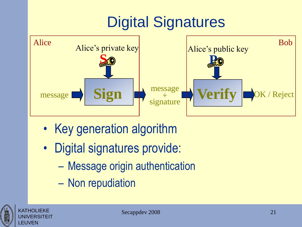## Digital Signatures

![](_page_20_Figure_1.jpeg)

- Key generation algorithm
- Digital signatures provide:
	- Message origin authentication
	- Non repudiation

![](_page_20_Picture_6.jpeg)

KATHOLIFKF

LEUVEN

**/ERSITEIT**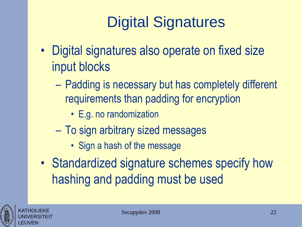## Digital Signatures

- Digital signatures also operate on fixed size input blocks
	- Padding is necessary but has completely different requirements than padding for encryption
		- E.g. no randomization
	- To sign arbitrary sized messages
		- Sign a hash of the message
- Standardized signature schemes specify how hashing and padding must be used

![](_page_21_Picture_7.jpeg)

KATHOLIEKE UNIVERSITEIT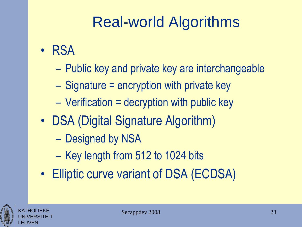## Real-world Algorithms

- RSA
	- Public key and private key are interchangeable
	- Signature = encryption with private key
	- Verification = decryption with public key
- DSA (Digital Signature Algorithm)
	- Designed by NSA
	- Key length from 512 to 1024 bits
- Elliptic curve variant of DSA (ECDSA)

![](_page_22_Picture_9.jpeg)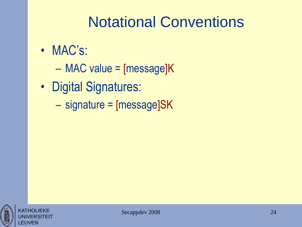### Notational Conventions

- MAC's:
	- MAC value = [message]K
- Digital Signatures:
	- signature = [message]SK

![](_page_23_Picture_5.jpeg)

**/FRSITEIT**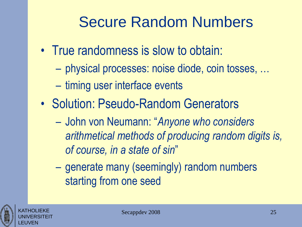## Secure Random Numbers

- True randomness is slow to obtain:
	- physical processes: noise diode, coin tosses, …
	- timing user interface events
- Solution: Pseudo-Random Generators
	- John von Neumann: "*Anyone who considers arithmetical methods of producing random digits is, of course, in a state of sin*"
	- generate many (seemingly) random numbers starting from one seed

![](_page_24_Picture_7.jpeg)

KATHOLIEKE UNIVERSITEIT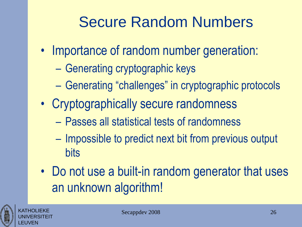## Secure Random Numbers

- Importance of random number generation:
	- Generating cryptographic keys
	- Generating "challenges" in cryptographic protocols
- Cryptographically secure randomness
	- Passes all statistical tests of randomness
	- Impossible to predict next bit from previous output bits
- Do not use a built-in random generator that uses an unknown algorithm!

![](_page_25_Picture_8.jpeg)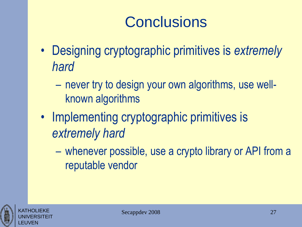## **Conclusions**

- Designing cryptographic primitives is *extremely hard*
	- never try to design your own algorithms, use wellknown algorithms
- Implementing cryptographic primitives is *extremely hard*
	- whenever possible, use a crypto library or API from a reputable vendor

![](_page_26_Picture_5.jpeg)

![](_page_26_Picture_6.jpeg)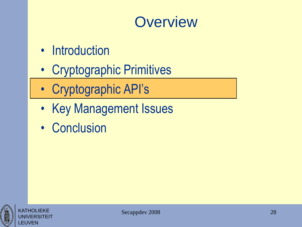#### **Overview**

- Introduction
- Cryptographic Primitives
- Cryptographic API's
- Key Management Issues
- Conclusion

![](_page_27_Picture_6.jpeg)

![](_page_27_Picture_7.jpeg)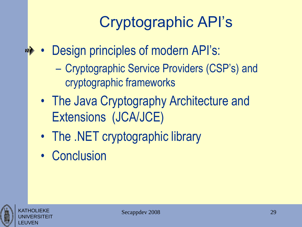## Cryptographic API's

- Design principles of modern API's: 10多
	- Cryptographic Service Providers (CSP's) and cryptographic frameworks
	- The Java Cryptography Architecture and Extensions (JCA/JCE)
	- The .NET cryptographic library
	- Conclusion

![](_page_28_Picture_6.jpeg)

KATHOLIEKE UNIVERSITEIT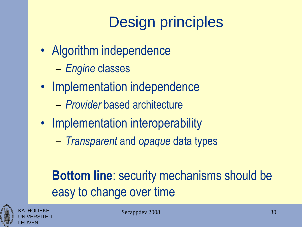## Design principles

- Algorithm independence
	- *Engine* classes
- Implementation independence
	- *Provider* based architecture
- Implementation interoperability
	- *Transparent* and *opaque* data types

#### **Bottom line**: security mechanisms should be easy to change over time

![](_page_29_Picture_8.jpeg)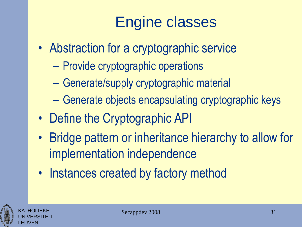## Engine classes

- Abstraction for a cryptographic service
	- Provide cryptographic operations
	- Generate/supply cryptographic material
	- Generate objects encapsulating cryptographic keys
- Define the Cryptographic API
- Bridge pattern or inheritance hierarchy to allow for implementation independence
- Instances created by factory method

![](_page_30_Picture_8.jpeg)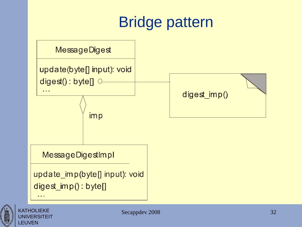## Bridge pattern

![](_page_31_Figure_1.jpeg)

![](_page_31_Picture_2.jpeg)

**UNIVERSITEIT**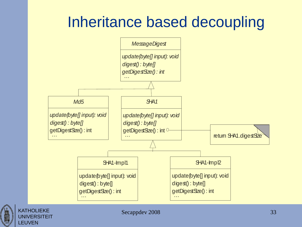#### Inheritance based decoupling

![](_page_32_Figure_1.jpeg)

![](_page_32_Picture_2.jpeg)

KATHOLIEKE **UNIVERSITEIT**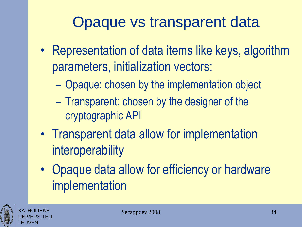### Opaque vs transparent data

- Representation of data items like keys, algorithm parameters, initialization vectors:
	- Opaque: chosen by the implementation object
	- Transparent: chosen by the designer of the cryptographic API
- Transparent data allow for implementation interoperability
- Opaque data allow for efficiency or hardware implementation

![](_page_33_Picture_6.jpeg)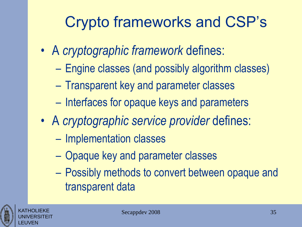## Crypto frameworks and CSP's

- A *cryptographic framework* defines:
	- Engine classes (and possibly algorithm classes)
	- Transparent key and parameter classes
	- Interfaces for opaque keys and parameters
- A *cryptographic service provider* defines:
	- Implementation classes
	- Opaque key and parameter classes
	- Possibly methods to convert between opaque and transparent data

![](_page_34_Picture_9.jpeg)

![](_page_34_Picture_10.jpeg)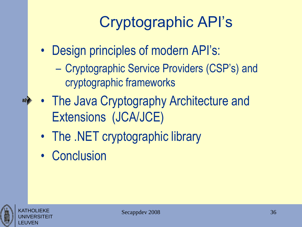## Cryptographic API's

- Design principles of modern API's:
	- Cryptographic Service Providers (CSP's) and cryptographic frameworks
- The Java Cryptography Architecture and Extensions (JCA/JCE)
	- The .NET cryptographic library
	- Conclusion

![](_page_35_Picture_6.jpeg)

![](_page_35_Picture_7.jpeg)

**10**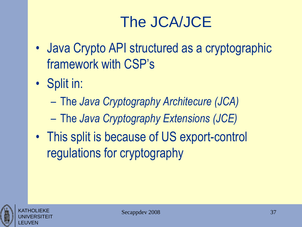## The JCA/JCE

- Java Crypto API structured as a cryptographic framework with CSP's
- Split in:
	- The *Java Cryptography Architecure (JCA)*
	- The *Java Cryptography Extensions (JCE)*
- This split is because of US export-control regulations for cryptography

![](_page_36_Picture_6.jpeg)

KATHOLIEKE UNIVERSITEIT

![](_page_36_Picture_7.jpeg)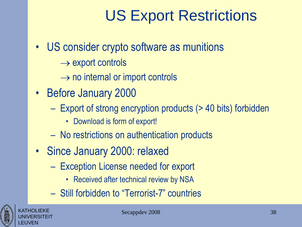### US Export Restrictions

- US consider crypto software as munitions
	- $\rightarrow$  export controls
	- $\rightarrow$  no internal or import controls
- Before January 2000
	- Export of strong encryption products (> 40 bits) forbidden
		- Download is form of export!
	- No restrictions on authentication products
- Since January 2000: relaxed
	- Exception License needed for export
		- Received after technical review by NSA
	- Still forbidden to "Terrorist-7" countries

![](_page_37_Picture_12.jpeg)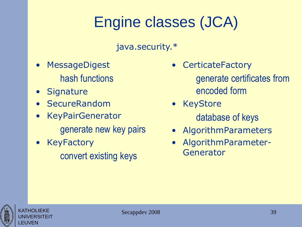# Engine classes (JCA)

java.security.\*

- **MessageDigest** hash functions
- Signature
- SecureRandom
- **KeyPairGenerator** generate new key pairs
- **KeyFactory** convert existing keys

**CerticateFactory** 

generate certificates from encoded form

- KeyStore database of keys
- AlgorithmParameters
- AlgorithmParameter-Generator

![](_page_38_Picture_12.jpeg)

KATHOLIEKE UNIVERSITEIT

![](_page_38_Picture_13.jpeg)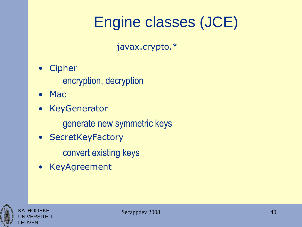## Engine classes (JCE)

javax.crypto.\*

• Cipher

encryption, decryption

- Mac
- KeyGenerator

generate new symmetric keys

- SecretKeyFactory
	- convert existing keys
- KeyAgreement

![](_page_39_Picture_10.jpeg)

![](_page_39_Picture_11.jpeg)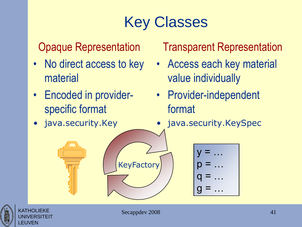## Key Classes

#### Opaque Representation

- No direct access to key material
- Encoded in providerspecific format
- java.security.Key

Transparent Representation

- Access each key material value individually
- Provider-independent format
- java.security.KeySpec

![](_page_40_Figure_9.jpeg)

![](_page_40_Picture_10.jpeg)

**KeyFactory**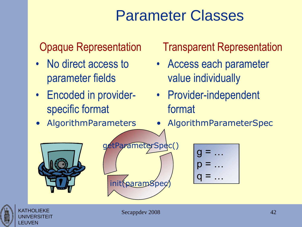#### Parameter Classes

#### Opaque Representation

- No direct access to parameter fields
- Encoded in providerspecific format
- AlgorithmParameters

#### Transparent Representation

- Access each parameter value individually
- Provider-independent format
- AlgorithmParameterSpec

![](_page_41_Picture_9.jpeg)

![](_page_41_Picture_10.jpeg)

![](_page_41_Picture_11.jpeg)

KATHOLIEKE UNIVERSITEIT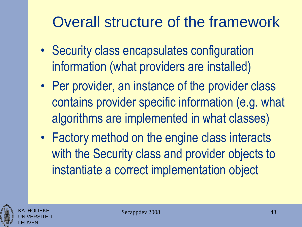## Overall structure of the framework

- Security class encapsulates configuration information (what providers are installed)
- Per provider, an instance of the provider class contains provider specific information (e.g. what algorithms are implemented in what classes)
- Factory method on the engine class interacts with the Security class and provider objects to instantiate a correct implementation object

![](_page_42_Picture_4.jpeg)

![](_page_42_Picture_5.jpeg)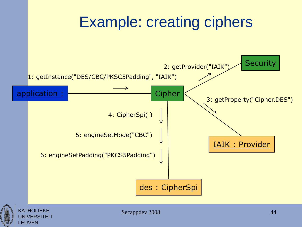![](_page_43_Figure_0.jpeg)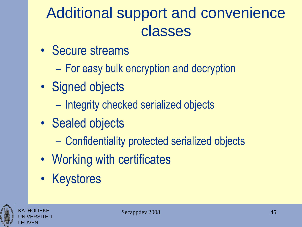## Additional support and convenience classes

- Secure streams
	- For easy bulk encryption and decryption
- Signed objects
	- Integrity checked serialized objects
- Sealed objects
	- Confidentiality protected serialized objects
- Working with certificates
- Keystores

![](_page_44_Picture_9.jpeg)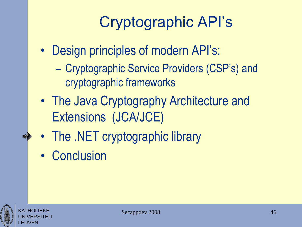## Cryptographic API's

- Design principles of modern API's:
	- Cryptographic Service Providers (CSP's) and cryptographic frameworks
- The Java Cryptography Architecture and Extensions (JCA/JCE)
- The .NET cryptographic library
- Conclusion

![](_page_45_Picture_6.jpeg)

**10**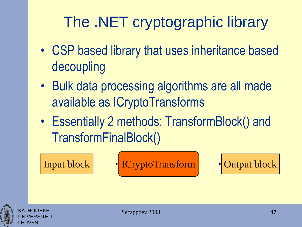## The .NET cryptographic library

- CSP based library that uses inheritance based decoupling
- Bulk data processing algorithms are all made available as ICryptoTransforms
- Essentially 2 methods: TransformBlock() and TransformFinalBlock()

Input block ICryptoTransform Output block

![](_page_46_Picture_5.jpeg)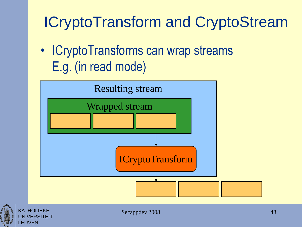## ICryptoTransform and CryptoStream

• ICryptoTransforms can wrap streams E.g. (in read mode)

![](_page_47_Figure_2.jpeg)

![](_page_47_Picture_3.jpeg)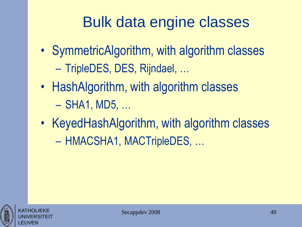## Bulk data engine classes

- SymmetricAlgorithm, with algorithm classes – TripleDES, DES, Rijndael, …
- HashAlgorithm, with algorithm classes – SHA1, MD5, …
- KeyedHashAlgorithm, with algorithm classes – HMACSHA1, MACTripleDES, …

![](_page_48_Picture_4.jpeg)

![](_page_48_Picture_5.jpeg)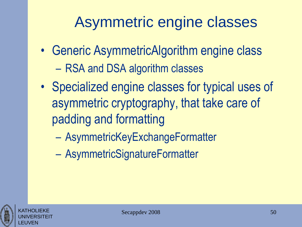## Asymmetric engine classes

- Generic AsymmetricAlgorithm engine class – RSA and DSA algorithm classes
- Specialized engine classes for typical uses of asymmetric cryptography, that take care of padding and formatting
	- AsymmetricKeyExchangeFormatter
	- AsymmetricSignatureFormatter

![](_page_49_Picture_5.jpeg)

![](_page_49_Picture_6.jpeg)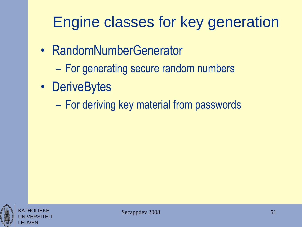## Engine classes for key generation

- RandomNumberGenerator
	- For generating secure random numbers
- DeriveBytes
	- For deriving key material from passwords

![](_page_50_Picture_5.jpeg)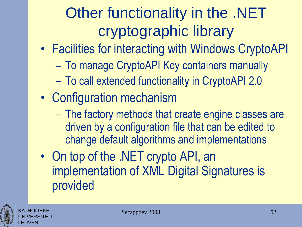## Other functionality in the .NET cryptographic library

- Facilities for interacting with Windows CryptoAPI
	- To manage CryptoAPI Key containers manually
	- To call extended functionality in CryptoAPI 2.0
- Configuration mechanism
	- The factory methods that create engine classes are driven by a configuration file that can be edited to change default algorithms and implementations
- On top of the .NET crypto API, an implementation of XML Digital Signatures is provided

![](_page_51_Picture_7.jpeg)

KATHOLIEKE UNIVERSITEIT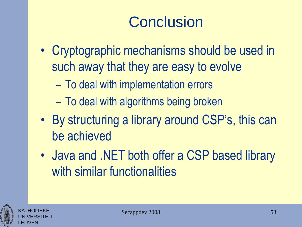## **Conclusion**

- Cryptographic mechanisms should be used in such away that they are easy to evolve
	- To deal with implementation errors
	- To deal with algorithms being broken
- By structuring a library around CSP's, this can be achieved
- Java and .NET both offer a CSP based library with similar functionalities

![](_page_52_Picture_6.jpeg)

![](_page_52_Picture_7.jpeg)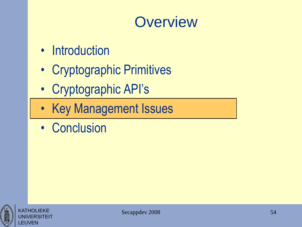#### **Overview**

- Introduction
- Cryptographic Primitives
- Cryptographic API's
- Key Management Issues
- Conclusion

![](_page_53_Picture_6.jpeg)

![](_page_53_Picture_7.jpeg)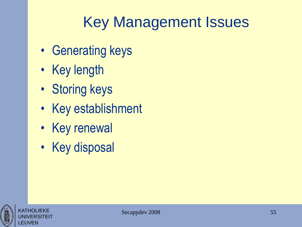## Key Management Issues

- Generating keys
- Key length
- Storing keys
- Key establishment
- Key renewal
- Key disposal

![](_page_54_Picture_7.jpeg)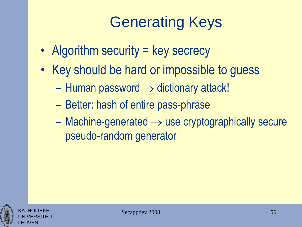## Generating Keys

- Algorithm security = key secrecy
- Key should be hard or impossible to guess
	- $-$  Human password  $\rightarrow$  dictionary attack!
	- Better: hash of entire pass-phrase
	- $-$  Machine-generated  $\rightarrow$  use cryptographically secure pseudo-random generator

![](_page_55_Picture_6.jpeg)

KATHOLIEKE UNIVERSITEIT

![](_page_55_Picture_7.jpeg)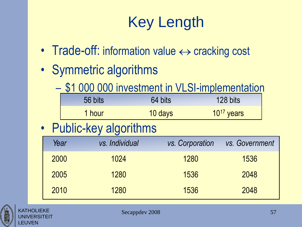## Key Length

- Trade-off: information value  $\leftrightarrow$  cracking cost
- Symmetric algorithms
	- \$1 000 000 investment in VLSI-implementation

|                         |      | 56 bits        | 64 bits | 128 bits        |                |
|-------------------------|------|----------------|---------|-----------------|----------------|
|                         |      | 1 hour         | 10 days | $10^{17}$ years |                |
| • Public-key algorithms |      |                |         |                 |                |
|                         | Year | vs. Individual |         | vs. Corporation | vs. Government |
|                         | 2000 | 1024           |         | 1280            | 1536           |

![](_page_56_Picture_5.jpeg)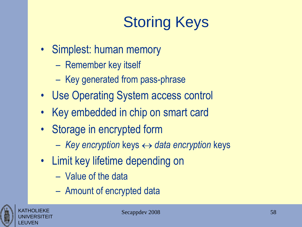# Storing Keys

- Simplest: human memory
	- Remember key itself
	- Key generated from pass-phrase
- Use Operating System access control
- Key embedded in chip on smart card
- Storage in encrypted form
	- *Key encryption* keys *data encryption* keys
- Limit key lifetime depending on
	- Value of the data
	- Amount of encrypted data

![](_page_57_Picture_11.jpeg)

KATHOLIEKE UNIVERSITEIT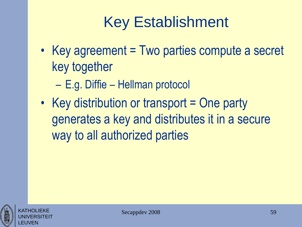## Key Establishment

- Key agreement = Two parties compute a secret key together
	- E.g. Diffie Hellman protocol
- Key distribution or transport = One party generates a key and distributes it in a secure way to all authorized parties

![](_page_58_Picture_4.jpeg)

![](_page_58_Picture_5.jpeg)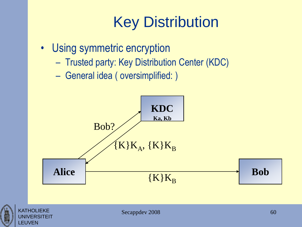## Key Distribution

- Using symmetric encryption
	- Trusted party: Key Distribution Center (KDC)
	- General idea ( oversimplified: )

![](_page_59_Figure_4.jpeg)

![](_page_59_Picture_5.jpeg)

**ERSITEIT**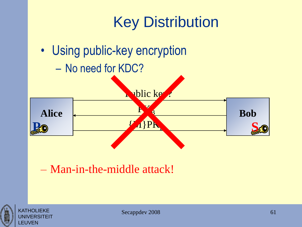![](_page_60_Figure_0.jpeg)

![](_page_60_Picture_1.jpeg)

**KATHOLIEKE** UNIVERSITEIT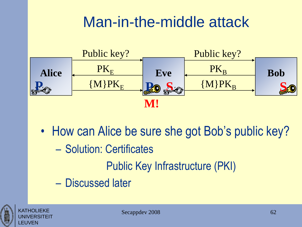#### Man-in-the-middle attack

![](_page_61_Figure_1.jpeg)

• How can Alice be sure she got Bob's public key? – Solution: Certificates Public Key Infrastructure (PKI) – Discussed later

![](_page_61_Picture_3.jpeg)

**KATHOLIFKF** UNIVERSITEIT

![](_page_61_Picture_4.jpeg)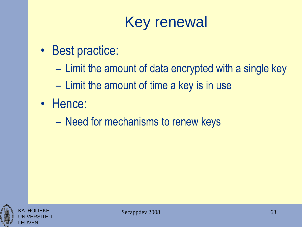## Key renewal

- Best practice:
	- Limit the amount of data encrypted with a single key
	- Limit the amount of time a key is in use
- Hence:
	- Need for mechanisms to renew keys

![](_page_62_Picture_6.jpeg)

![](_page_62_Picture_7.jpeg)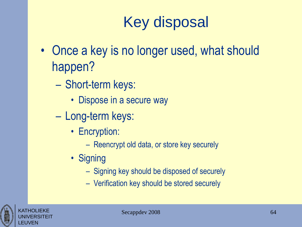## Key disposal

- Once a key is no longer used, what should happen?
	- Short-term keys:
		- Dispose in a secure way
	- Long-term keys:
		- Encryption:
			- Reencrypt old data, or store key securely
		- Signing
			- Signing key should be disposed of securely
			- Verification key should be stored securely

![](_page_63_Picture_10.jpeg)

![](_page_63_Picture_11.jpeg)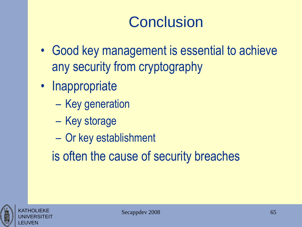## **Conclusion**

- Good key management is essential to achieve any security from cryptography
- Inappropriate
	- Key generation
	- Key storage
	- Or key establishment
	- is often the cause of security breaches

![](_page_64_Picture_7.jpeg)

KATHOLIEKE UNIVERSITEIT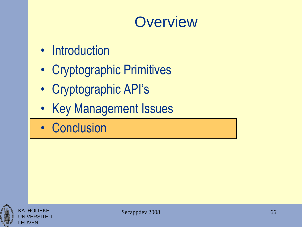#### **Overview**

- Introduction
- Cryptographic Primitives
- Cryptographic API's
- Key Management Issues
- Conclusion

![](_page_65_Picture_6.jpeg)

KATHOLIFKF UNIVERSITEIT